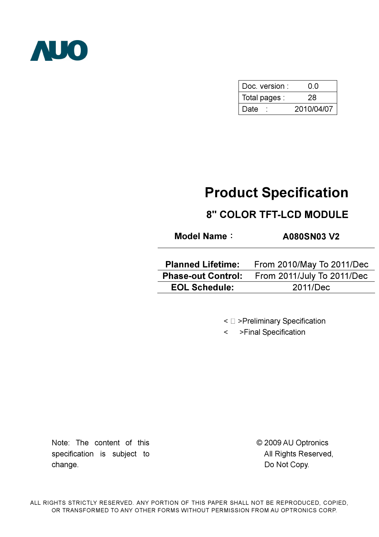

| Doc. version: | ი ი        |  |  |
|---------------|------------|--|--|
| Total pages : | 28         |  |  |
| Date          | 2010/04/07 |  |  |

# Product Specification

# 8" COLOR TFT-LCD MODULE

Model Name: A080SN03 V2

| <b>Planned Lifetime:</b> | From 2010/May To 2011/Dec                            |
|--------------------------|------------------------------------------------------|
|                          | <b>Phase-out Control:</b> From 2011/July To 2011/Dec |
| <b>EOL Schedule:</b>     | 2011/Dec                                             |

< >Preliminary Specification

< >Final Specification

Note: The content of this specification is subject to change.

© 2009 AU Optronics All Rights Reserved, Do Not Copy.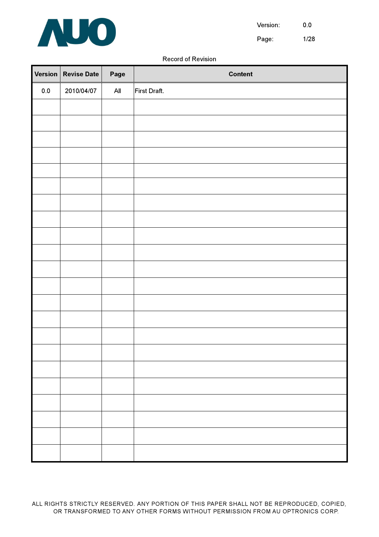

Version: 0.0

Page: 1/28

#### Record of Revision

|         | Version   Revise Date | Page | <b>Content</b> |
|---------|-----------------------|------|----------------|
| $0.0\,$ | 2010/04/07            | All  | First Draft.   |
|         |                       |      |                |
|         |                       |      |                |
|         |                       |      |                |
|         |                       |      |                |
|         |                       |      |                |
|         |                       |      |                |
|         |                       |      |                |
|         |                       |      |                |
|         |                       |      |                |
|         |                       |      |                |
|         |                       |      |                |
|         |                       |      |                |
|         |                       |      |                |
|         |                       |      |                |
|         |                       |      |                |
|         |                       |      |                |
|         |                       |      |                |
|         |                       |      |                |
|         |                       |      |                |
|         |                       |      |                |
|         |                       |      |                |
|         |                       |      |                |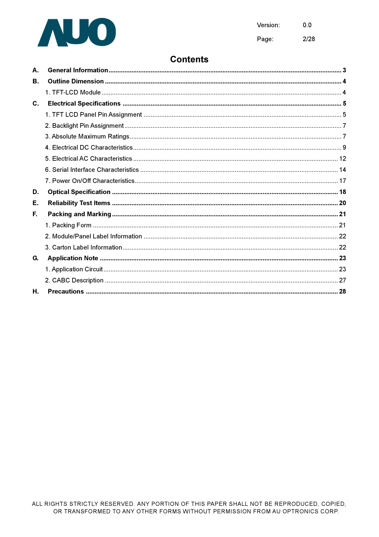

Page:  $2/28$ 

# **Contents**

| А.             |  |
|----------------|--|
| В.             |  |
|                |  |
| $\mathbf{C}$ . |  |
|                |  |
|                |  |
|                |  |
|                |  |
|                |  |
|                |  |
|                |  |
| D.             |  |
| Е.             |  |
| Е.             |  |
|                |  |
|                |  |
|                |  |
| G.             |  |
|                |  |
|                |  |
| Н.             |  |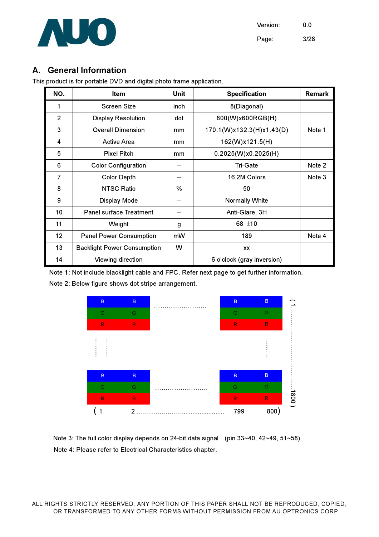

# A. General Information

This product is for portable DVD and digital photo frame application.

| NO.            | Item                               | <b>Unit</b> | <b>Specification</b>       | <b>Remark</b> |
|----------------|------------------------------------|-------------|----------------------------|---------------|
| 1              | <b>Screen Size</b>                 | inch        | 8(Diagonal)                |               |
| 2              | <b>Display Resolution</b>          | dot         | 800(W)x600RGB(H)           |               |
| 3              | <b>Overall Dimension</b>           | mm          | 170.1(W)x132.3(H)x1.43(D)  | Note 1        |
| 4              | <b>Active Area</b>                 | mm          | 162(W)x121.5(H)            |               |
| 5              | <b>Pixel Pitch</b>                 | mm          | 0.2025(W)x0.2025(H)        |               |
| 6              | <b>Color Configuration</b>         |             | <b>Tri-Gate</b>            | Note 2        |
| $\overline{7}$ | <b>Color Depth</b>                 |             | 16.2M Colors               | Note 3        |
| 8              | <b>NTSC Ratio</b>                  | $\%$        | 50                         |               |
| 9              | Display Mode                       | --          | <b>Normally White</b>      |               |
| 10             | <b>Panel surface Treatment</b>     |             | Anti-Glare, 3H             |               |
| 11             | Weight                             | 68 ±10<br>g |                            |               |
| 12             | <b>Panel Power Consumption</b>     | mW          | 189                        | Note 4        |
| 13             | <b>Backlight Power Consumption</b> | w           | XX                         |               |
| 14             | Viewing direction                  |             | 6 o'clock (gray inversion) |               |

Note 1: Not include blacklight cable and FPC. Refer next page to get further information.

Note 2: Below figure shows dot stripe arrangement.



Note 3: The full color display depends on 24-bit data signal (pin 33~40, 42~49, 51~58). Note 4: Please refer to Electrical Characteristics chapter.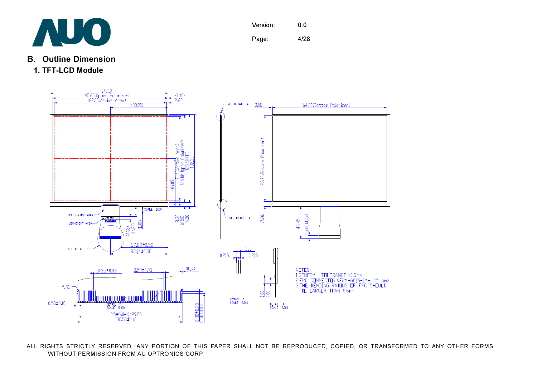

- B. Outline Dimension
- 1. TFT-LCD Module



ALL RIGHTS STRICTLY RESERVED. ANY PORTION OF THIS PAPER SHALL NOT BE REPRODUCED, COPIED, OR TRANSFORMED TO ANY OTHER FORMS WITHOUT PERMISSION FROM AU OPTRONICS CORP.

Version: 0.0 Page: 4/28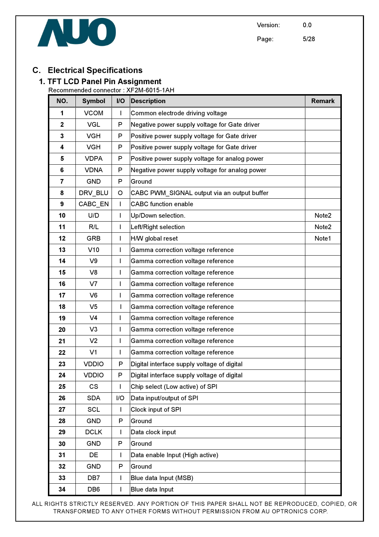





# C. Electrical Specifications

# 1. TFT LCD Panel Pin Assignment

Recommended connector : XF2M-6015-1AH

| NO.                     | <b>Symbol</b>   | <b>I/O</b>   | <b>Description</b>                             | <b>Remark</b> |
|-------------------------|-----------------|--------------|------------------------------------------------|---------------|
| 1                       | <b>VCOM</b>     | $\mathbf{I}$ | Common electrode driving voltage               |               |
| $\mathbf{2}$            | <b>VGL</b>      | P            | Negative power supply voltage for Gate driver  |               |
| $\overline{\mathbf{3}}$ | <b>VGH</b>      | P            | Positive power supply voltage for Gate driver  |               |
| 4                       | <b>VGH</b>      | P            | Positive power supply voltage for Gate driver  |               |
| 5                       | <b>VDPA</b>     | P            | Positive power supply voltage for analog power |               |
| 6                       | <b>VDNA</b>     | P            | Negative power supply voltage for analog power |               |
| $\overline{7}$          | <b>GND</b>      | P            | Ground                                         |               |
| 8                       | DRV BLU         | $\circ$      | CABC PWM_SIGNAL output via an output buffer    |               |
| 9                       | CABC EN         | $\mathbf{I}$ | <b>CABC</b> function enable                    |               |
| 10                      | U/D             | $\mathbf{I}$ | Up/Down selection.                             | Note2         |
| 11                      | R/L             | $\mathsf{I}$ | Left/Right selection                           | Note2         |
| 12                      | <b>GRB</b>      | I            | H/W global reset                               | Note1         |
| 13                      | V10             | I            | Gamma correction voltage reference             |               |
| 14                      | V <sub>9</sub>  | T            | Gamma correction voltage reference             |               |
| 15                      | V <sub>8</sub>  | $\mathbf{I}$ | Gamma correction voltage reference             |               |
| 16                      | V <sub>7</sub>  | L            | Gamma correction voltage reference             |               |
| 17                      | V <sub>6</sub>  | L            | Gamma correction voltage reference             |               |
| 18                      | V <sub>5</sub>  | I            | Gamma correction voltage reference             |               |
| 19                      | V <sub>4</sub>  | I            | Gamma correction voltage reference             |               |
| 20                      | V <sub>3</sub>  | T            | Gamma correction voltage reference             |               |
| 21                      | V <sub>2</sub>  | I            | Gamma correction voltage reference             |               |
| 22                      | V <sub>1</sub>  | T            | Gamma correction voltage reference             |               |
| 23                      | <b>VDDIO</b>    | P            | Digital interface supply voltage of digital    |               |
| 24                      | <b>VDDIO</b>    | P            | Digital interface supply voltage of digital    |               |
| 25                      | CS              | ı            | Chip select (Low active) of SPI                |               |
| 26                      | <b>SDA</b>      | I/O          | Data input/output of SPI                       |               |
| 27                      | <b>SCL</b>      | L            | Clock input of SPI                             |               |
| 28                      | <b>GND</b>      | $\mathsf{P}$ | Ground                                         |               |
| 29                      | <b>DCLK</b>     | $\mathsf{I}$ | Data clock input                               |               |
| 30                      | <b>GND</b>      | ${\sf P}$    | Ground                                         |               |
| 31                      | DE              | $\mathsf{I}$ | Data enable Input (High active)                |               |
| 32                      | <b>GND</b>      | P            | Ground                                         |               |
| 33                      | DB <sub>7</sub> | $\mathsf{I}$ | Blue data Input (MSB)                          |               |
| 34                      | DB <sub>6</sub> | L            | Blue data Input                                |               |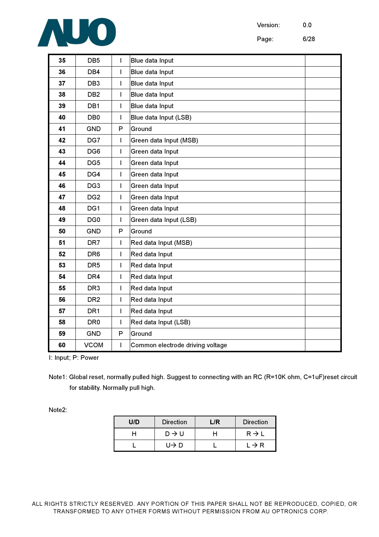

Page: 6/28

| 35 | DB <sub>5</sub> | I                        | Blue data Input                  |
|----|-----------------|--------------------------|----------------------------------|
| 36 | DB4             | T                        | Blue data Input                  |
| 37 | DB <sub>3</sub> | I                        | Blue data Input                  |
| 38 | DB <sub>2</sub> | I                        | Blue data Input                  |
| 39 | DB <sub>1</sub> | T                        | Blue data Input                  |
| 40 | DB <sub>0</sub> | $\overline{1}$           | Blue data Input (LSB)            |
| 41 | <b>GND</b>      | P                        | Ground                           |
| 42 | DG7             | I                        | Green data Input (MSB)           |
| 43 | DG <sub>6</sub> | I                        | Green data Input                 |
| 44 | DG <sub>5</sub> | I                        | Green data Input                 |
| 45 | DG4             | I                        | Green data Input                 |
| 46 | DG <sub>3</sub> | T                        | Green data Input                 |
| 47 | DG <sub>2</sub> | I                        | Green data Input                 |
| 48 | DG1             | I                        | Green data Input                 |
| 49 | DG <sub>0</sub> | $\overline{\phantom{a}}$ | Green data Input (LSB)           |
| 50 | <b>GND</b>      | P                        | Ground                           |
| 51 | DR7             | I                        | Red data Input (MSB)             |
| 52 | DR <sub>6</sub> | T                        | Red data Input                   |
| 53 | DR <sub>5</sub> | I                        | Red data Input                   |
| 54 | DR <sub>4</sub> | T                        | Red data Input                   |
| 55 | DR <sub>3</sub> | I                        | Red data Input                   |
| 56 | DR <sub>2</sub> | I                        | Red data Input                   |
| 57 | DR <sub>1</sub> | I                        | Red data Input                   |
| 58 | DR <sub>0</sub> | I                        | Red data Input (LSB)             |
| 59 | <b>GND</b>      | P                        | Ground                           |
| 60 | <b>VCOM</b>     | I                        | Common electrode driving voltage |

I: Input; P: Power

Note1: Global reset, normally pulled high. Suggest to connecting with an RC (R=10K ohm, C=1uF)reset circuit for stability. Normally pull high.

Note2:

| U/D | <b>Direction</b>  | $\sqrt{R}$ | <b>Direction</b>  |
|-----|-------------------|------------|-------------------|
|     | $D \rightarrow U$ |            | $R \rightarrow L$ |
|     | U→ D              |            | $L \rightarrow R$ |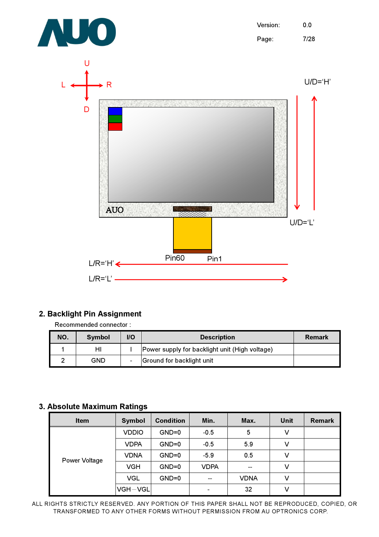

### 2. Backlight Pin Assignment

Recommended connector :

| NO. | <b>Symbol</b> | $U$ | <b>Description</b>                             | Remark |
|-----|---------------|-----|------------------------------------------------|--------|
|     | HI            |     | Power supply for backlight unit (High voltage) |        |
|     | GND           |     | Ground for backlight unit                      |        |

# 3. Absolute Maximum Ratings

| <b>Item</b>          | <b>Symbol</b> | <b>Condition</b> | Min.              | Max.        | Unit | <b>Remark</b> |
|----------------------|---------------|------------------|-------------------|-------------|------|---------------|
| <b>Power Voltage</b> | <b>VDDIO</b>  | $GND=0$          | $-0.5$            | 5           |      |               |
|                      | <b>VDPA</b>   | $GND=0$          | $-0.5$            | 5.9         |      |               |
|                      | <b>VDNA</b>   | $GND=0$          | $-5.9$            | 0.5         |      |               |
|                      | <b>VGH</b>    | $GND=0$          | <b>VDPA</b>       | $- -$       | v    |               |
|                      | <b>VGL</b>    | $GND=0$          | $\hspace{0.05cm}$ | <b>VDNA</b> | v    |               |
|                      | VGH-VGL       |                  |                   | 32          |      |               |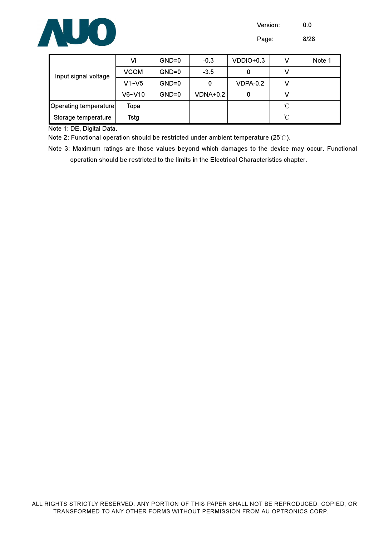

Version: 0.0

Page: 8/28

| Input signal voltage  | Vi          | $GND=0$ | $-0.3$   | VDDIO+0.3 |                 | Note 1 |
|-----------------------|-------------|---------|----------|-----------|-----------------|--------|
|                       | <b>VCOM</b> | $GND=0$ | $-3.5$   |           |                 |        |
|                       | $V1 - V5$   | $GND=0$ | 0        | VDPA-0.2  |                 |        |
|                       | $V6-V10$    | $GND=0$ | VDNA+0.2 | 0         |                 |        |
| Operating temperature | Тора        |         |          |           | $\rm ^{\circ}C$ |        |
| Storage temperature   | Tstg        |         |          |           | $^{\circ}$ C    |        |

Note 1: DE, Digital Data.

Note 2: Functional operation should be restricted under ambient temperature (25°C).

Note 3: Maximum ratings are those values beyond which damages to the device may occur. Functional operation should be restricted to the limits in the Electrical Characteristics chapter.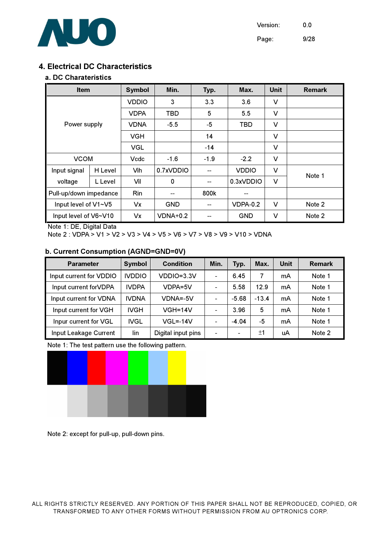

Page: 9/28

### 4. Electrical DC Characteristics

#### a. DC Charateristics

| <b>Item</b>            |         | <b>Symbol</b> | Min.            | Typ.   | Max.            | <b>Unit</b> | <b>Remark</b> |
|------------------------|---------|---------------|-----------------|--------|-----------------|-------------|---------------|
|                        |         | <b>VDDIO</b>  | 3               | 3.3    | 3.6             | V           |               |
|                        |         | <b>VDPA</b>   | <b>TBD</b>      | 5      | 5.5             | $\vee$      |               |
| Power supply           |         | <b>VDNA</b>   | $-5.5$          | $-5$   | <b>TBD</b>      | V           |               |
|                        |         | <b>VGH</b>    |                 | 14     |                 | V           |               |
|                        |         | <b>VGL</b>    |                 | $-14$  |                 | V           |               |
| <b>VCOM</b>            |         | Vcdc          | $-1.6$          | $-1.9$ | $-2.2$          | V           |               |
| Input signal           | H Level | Vih           | 0.7xVDDIO       |        | <b>VDDIO</b>    | $\vee$      | Note 1        |
| voltage                | L Level | Vil           | 0               | --     | 0.3xVDDIO       | $\vee$      |               |
| Pull-up/down impedance |         | Rin           |                 | 800k   | --              |             |               |
| Input level of V1~V5   |         | Vx            | <b>GND</b>      |        | <b>VDPA-0.2</b> | $\vee$      | Note 2        |
| Input level of V6~V10  |         | Vx            | <b>VDNA+0.2</b> |        | <b>GND</b>      | V           | Note 2        |

Note 1: DE, Digital Data

Note 2 : VDPA > V1 > V2 > V3 > V4 > V5 > V6 > V7 > V8 > V9 > V10 > VDNA

#### b. Current Consumption (AGND=GND=0V)

| <b>Parameter</b>        | <b>Symbol</b> | <b>Condition</b>   | Min.                     | Typ.                     | Max.    | Unit | <b>Remark</b> |
|-------------------------|---------------|--------------------|--------------------------|--------------------------|---------|------|---------------|
| Input current for VDDIO | <b>IVDDIO</b> | VDDIO=3.3V         | $\overline{\phantom{0}}$ | 6.45                     | 7       | mA   | Note 1        |
| Input current for VDPA  | <b>IVDPA</b>  | VDPA=5V            | $\overline{\phantom{0}}$ | 5.58                     | 12.9    | mA   | Note 1        |
| Input current for VDNA  | <b>IVDNA</b>  | VDNA=-5V           | $\overline{\phantom{0}}$ | $-5.68$                  | $-13.4$ | mA   | Note 1        |
| Input current for VGH   | IVGH          | $VGH=14V$          | $\overline{\phantom{0}}$ | 3.96                     | 5       | mA   | Note 1        |
| Inpur current for VGL   | <b>IVGL</b>   | $VGL=-14V$         | $\qquad \qquad$          | $-4.04$                  | -5      | mA   | Note 1        |
| Input Leakage Current   | lin           | Digital input pins | $\qquad \qquad$          | $\overline{\phantom{0}}$ | ±1      | uA   | Note 2        |

Note 1: The test pattern use the following pattern.



Note 2: except for pull-up, pull-down pins.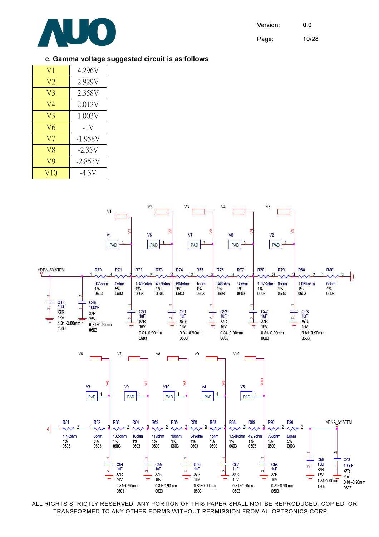

Version: 0.0

Page: 10/28

#### c. Gamma voltage suggested circuit is as follows

| V <sub>1</sub> | 4.296V    |
|----------------|-----------|
| V <sub>2</sub> | 2.929V    |
| V3             | 2.358V    |
| V4             | 2.012V    |
| V5             | 1.003V    |
| V6             | -1V       |
| V7             | $-1.958V$ |
| V8             | $-2.35V$  |
| V9             | $-2.853V$ |
| V10            | -4.3V     |

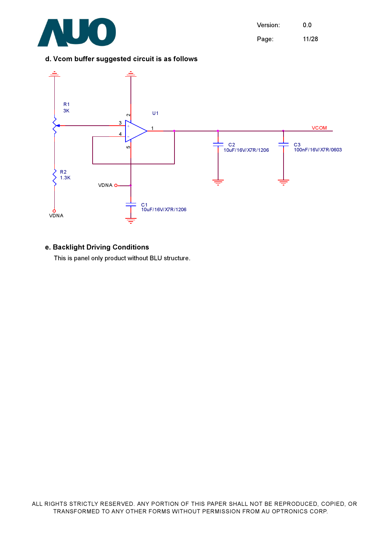

Version: 0.0 Page: 11/28

#### d. Vcom buffer suggested circuit is as follows



#### e. Backlight Driving Conditions

This is panel only product without BLU structure.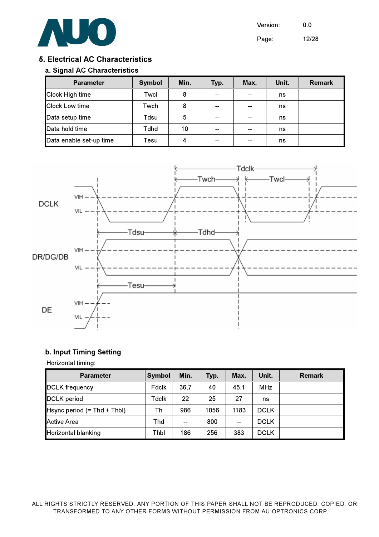

Version: 0.0

Page: 12/28

#### 5. Electrical AC Characteristics

#### a. Signal AC Characteristics

| <b>Parameter</b>        | <b>Symbol</b> | Min. | Typ. | Max. | Unit. | <b>Remark</b> |
|-------------------------|---------------|------|------|------|-------|---------------|
| Clock High time         | Twcl          | 8    |      |      | ns    |               |
| <b>Clock Low time</b>   | Twch          | 8    | --   |      | ns    |               |
| Data setup time         | Tdsu          | 5    | --   |      | ns    |               |
| Data hold time          | Tdhd          | 10   | --   |      | ns    |               |
| Data enable set-up time | Tesu          | Δ    |      |      | ns    |               |



#### b. Input Timing Setting

#### Horizontal timing:

| <b>Parameter</b>              | <b>Symbol</b> | Min.                     | Typ. | Max.                     | Unit.       | <b>Remark</b> |
|-------------------------------|---------------|--------------------------|------|--------------------------|-------------|---------------|
| <b>DCLK</b> frequency         | Fdclk         | 36.7                     | 40   | 45.1                     | <b>MHz</b>  |               |
| <b>DCLK</b> period            | Tdclk         | 22                       | 25   | 27                       | ns          |               |
| Hsync period $(= Thd + Thbl)$ | Th            | 986                      | 1056 | 1183                     | <b>DCLK</b> |               |
| Active Area                   | Thd           | $\overline{\phantom{a}}$ | 800  | $\overline{\phantom{a}}$ | <b>DCLK</b> |               |
| <b>Horizontal blanking</b>    | Thbl          | 186                      | 256  | 383                      | <b>DCLK</b> |               |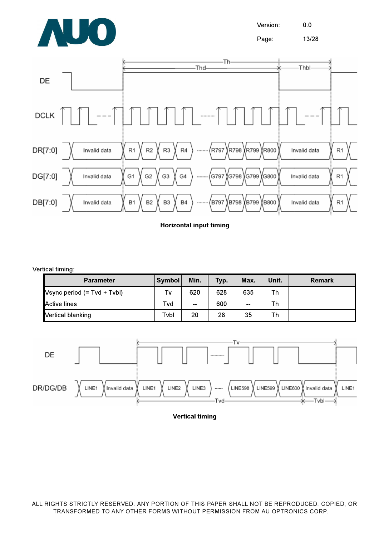

Version: 0.0

Page: 13/28



Horizontal input timing

Vertical timing:

| <b>Parameter</b>              | <b>Symbol</b> | Min.                     | Typ. | Max.  | Unit. | <b>Remark</b> |
|-------------------------------|---------------|--------------------------|------|-------|-------|---------------|
| Vsync period $(= Tvd + Tvbl)$ | Tv            | 620                      | 628  | 635   | Th    |               |
| <b>Active lines</b>           | Tvd           | $\overline{\phantom{a}}$ | 600  | $- -$ | Th    |               |
| <b>Vertical blanking</b>      | Tvbl          | 20                       | 28   | 35    | Th    |               |



Vertical timing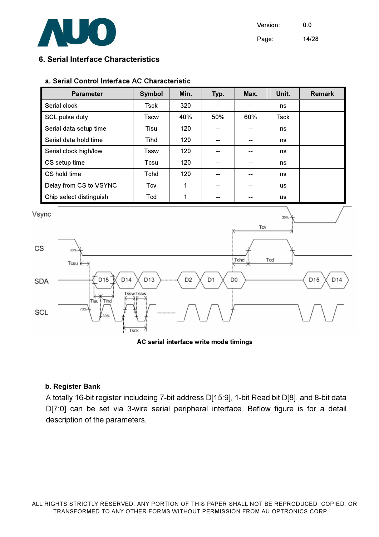

Version: 0.0 Page: 14/28

#### 6. Serial Interface Characteristics

#### a. Serial Control Interface AC Characteristic

| <b>Parameter</b>        | <b>Symbol</b> | Min. | Typ. | Max. | Unit.     | <b>Remark</b> |
|-------------------------|---------------|------|------|------|-----------|---------------|
| Serial clock            | Tsck          | 320  |      |      | ns        |               |
| SCL pulse duty          | Tscw          | 40%  | 50%  | 60%  | Tsck      |               |
| Serial data setup time  | Tisu          | 120  |      |      | ns        |               |
| Serial data hold time   | <b>Tihd</b>   | 120  |      |      | ns        |               |
| Serial clock high/low   | Tssw          | 120  |      |      | ns        |               |
| CS setup time           | Tcsu          | 120  |      |      | ns        |               |
| CS hold time            | Tchd          | 120  |      |      | ns        |               |
| Delay from CS to VSYNC  | Tcv           |      |      |      | <b>us</b> |               |
| Chip select distinguish | Tcd           |      |      |      | <b>us</b> |               |



AC serial interface write mode timings

#### b. Register Bank

A totally 16-bit register includeing 7-bit address D[15:9], 1-bit Read bit D[8], and 8-bit data D[7:0] can be set via 3-wire serial peripheral interface. Beflow figure is for a detail description of the parameters.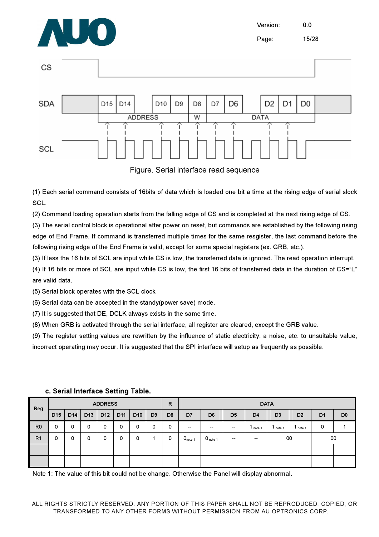

CS

Version: 0.0 Page: 15/28



Figure. Serial interface read sequence

(1) Each serial command consists of 16bits of data which is loaded one bit a time at the rising edge of serial slock SCL.

(2) Command loading operation starts from the falling edge of CS and is completed at the next rising edge of CS.

(3) The serial control block is operational after power on reset, but commands are established by the following rising edge of End Frame. If command is transferred multiple times for the same resgister, the last command before the following rising edge of the End Frame is valid, except for some special registers (ex. GRB, etc.).

(3) If less the 16 bits of SCL are input while CS is low, the transferred data is ignored. The read operation interrupt.

(4) If 16 bits or more of SCL are input while CS is low, the first 16 bits of transferred data in the duration of CS="L" are valid data.

(5) Serial block operates with the SCL clock

(6) Serial data can be accepted in the standy(power save) mode.

(7) It is suggested that DE, DCLK always exists in the same time.

(8) When GRB is activated through the serial interface, all register are cleared, except the GRB value.

(9) The register setting values are rewritten by the influence of static electricity, a noise, etc. to unsuitable value, incorrect operating may occur. It is suggested that the SPI interface will setup as frequently as possible.

| Reg            | <b>ADDRESS</b>  |                 |                 |                 |                 |                 | $\mathsf{R}$   |                |                     |                     | <b>DATA</b>    |                |                |                |                |                |
|----------------|-----------------|-----------------|-----------------|-----------------|-----------------|-----------------|----------------|----------------|---------------------|---------------------|----------------|----------------|----------------|----------------|----------------|----------------|
|                | D <sub>15</sub> | D <sub>14</sub> | D <sub>13</sub> | D <sub>12</sub> | D <sub>11</sub> | D <sub>10</sub> | D <sub>9</sub> | D <sub>8</sub> | D7                  | D <sub>6</sub>      | D <sub>5</sub> | D <sub>4</sub> | D <sub>3</sub> | D <sub>2</sub> | D <sub>1</sub> | D <sub>0</sub> |
| R <sub>0</sub> | 0               | 0               | 0               | 0               | 0               | 0               | 0              | 0              | $- -$               | $- -$               | $- -$          | note 1         | note '         | Inote 1        | 0              |                |
| R <sub>1</sub> | 0               | 0               | $\Omega$        | 0               | 0               | 0               |                | 0              | O <sub>note 1</sub> | $0_{\text{note 1}}$ | $- -$          | --             | 00             |                | 00             |                |
|                |                 |                 |                 |                 |                 |                 |                |                |                     |                     |                |                |                |                |                |                |
|                |                 |                 |                 |                 |                 |                 |                |                |                     |                     |                |                |                |                |                |                |

c. Serial Interface Setting Table.

Note 1: The value of this bit could not be change. Otherwise the Panel will display abnormal.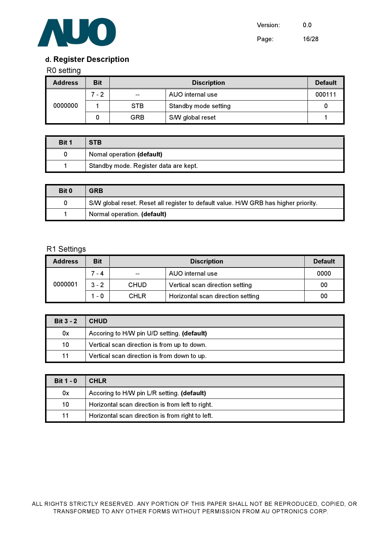

# d. Register Description

#### R0 setting

| <b>Address</b> | <b>Bit</b> |            | <b>Default</b>       |        |
|----------------|------------|------------|----------------------|--------|
|                | 7 - 2      | $\sim$     | AUO internal use     | 000111 |
| 0000000        |            | <b>STB</b> | Standby mode setting |        |
|                |            | <b>GRB</b> | S/W global reset     |        |

| Bit 1 | <b>STB</b>                            |
|-------|---------------------------------------|
|       | Nomal operation (default)             |
|       | Standby mode. Register data are kept. |

| Bit 0 | GRB                                                                                 |
|-------|-------------------------------------------------------------------------------------|
|       | S/W global reset. Reset all register to default value. H/W GRB has higher priority. |
|       | Normal operation. (default)                                                         |

#### R1 Settings

| <b>Address</b> | <b>Bit</b> |             | <b>Default</b>                    |      |
|----------------|------------|-------------|-----------------------------------|------|
|                | $7 - 4$    |             | AUO internal use                  | 0000 |
| 0000001        | $3 - 2$    | <b>CHUD</b> | Vertical scan direction setting   | 00   |
|                | $1 - 0$    | <b>CHLR</b> | Horizontal scan direction setting | 00   |

| Bit $3 - 2$ | <b>CHUD</b>                                 |
|-------------|---------------------------------------------|
| 0x          | Accoring to H/W pin U/D setting. (default)  |
| 10          | Vertical scan direction is from up to down. |
| 11          | Vertical scan direction is from down to up. |

| $Bit 1 - 0$ | <b>CHLR</b>                                      |
|-------------|--------------------------------------------------|
| 0x          | Accoring to H/W pin L/R setting. (default)       |
| 10          | Horizontal scan direction is from left to right. |
| 11          | Horizontal scan direction is from right to left. |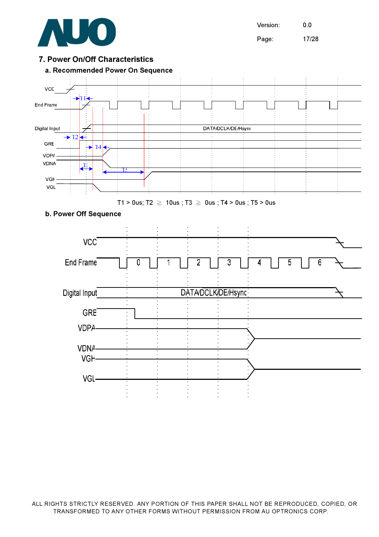

VGL-

Version: 0.0

Page: 17/28

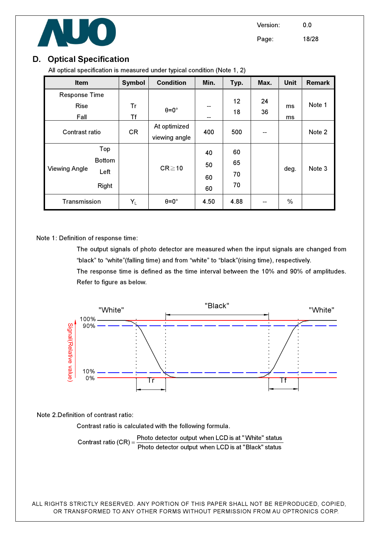

# D. Optical Specification

All optical specification is measured under typical condition (Note 1, 2)

| Item                 |               | <b>Symbol</b> | <b>Condition</b>     | Min. | Typ. | Max. | <b>Unit</b> | <b>Remark</b> |
|----------------------|---------------|---------------|----------------------|------|------|------|-------------|---------------|
| <b>Response Time</b> |               |               |                      |      |      |      |             |               |
| <b>Rise</b>          |               | Tr            | $\theta = 0^{\circ}$ | --   | 12   | 24   | ms          | Note 1        |
| Fall                 |               | Tf            |                      | --   | 18   | 36   | ms          |               |
| Contrast ratio       |               | <b>CR</b>     | At optimized         | 400  | 500  | --   |             | Note 2        |
|                      |               |               | viewing angle        |      |      |      |             |               |
|                      | Top           |               |                      | 40   | 60   |      |             |               |
|                      | <b>Bottom</b> |               | $CR \ge 10$          | 50   | 65   |      |             | Note 3        |
| <b>Viewing Angle</b> | Left          |               |                      |      | 70   |      | deg.        |               |
|                      |               |               |                      | 60   | 70   |      |             |               |
|                      | Right         |               |                      | 60   |      |      |             |               |
| Transmission         |               | $Y_L$         | $\theta = 0^{\circ}$ | 4.50 | 4.88 |      | %           |               |

Note 1: Definition of response time:

 The output signals of photo detector are measured when the input signals are changed from "black" to "white"(falling time) and from "white" to "black"(rising time), respectively. The response time is defined as the time interval between the 10% and 90% of amplitudes. Refer to figure as below.



Note 2.Definition of contrast ratio:

Contrast ratio is calculated with the following formula.

Photo detector output when LCD is at "Black" status Contrast ratio  $(CR) = \frac{\text{Photo detector output when LCD is at "White" status}}{\text{Total Area}}$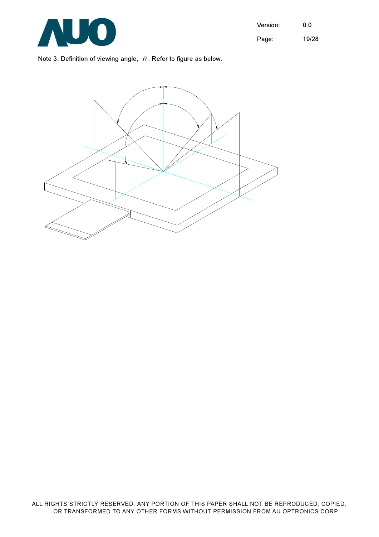

Note 3. Definition of viewing angle,  $\theta$ , Refer to figure as below.

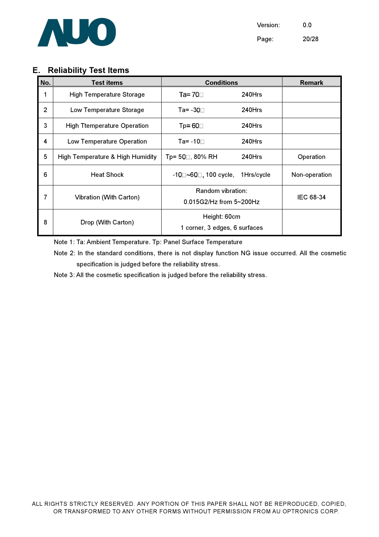

Version: 0.0 Page: 20/28

# E. Reliability Test Items

| No.            | <b>Test</b> items                  | <b>Conditions</b>                             | <b>Remark</b> |               |
|----------------|------------------------------------|-----------------------------------------------|---------------|---------------|
| 1              | <b>High Temperature Storage</b>    | Ta= $70$<br>240Hrs                            |               |               |
| $\overline{2}$ | Low Temperature Storage            | Та= -30⊓.                                     | $240$ Hrs     |               |
| 3              | <b>High Ttemperature Operation</b> | $Tp = 60$                                     | 240Hrs        |               |
| 4              | Low Temperature Operation          | Ta= -10 $\Box$                                | 240Hrs        |               |
| 5              | High Temperature & High Humidity   | Tp= 50□ 80% RH                                | 240Hrs        | Operation     |
| 6              | <b>Heat Shock</b>                  | -10⊟~60⊟, 100 cycle,                          | 1Hrs/cycle    | Non-operation |
| 7              | Vibration (With Carton)            | Random vibration:<br>0.015G2/Hz from 5~200Hz  |               | IEC 68-34     |
| 8              | Drop (With Carton)                 | Height: 60cm<br>1 corner, 3 edges, 6 surfaces |               |               |

Note 1: Ta: Ambient Temperature. Tp: Panel Surface Temperature

Note 2: In the standard conditions, there is not display function NG issue occurred. All the cosmetic specification is judged before the reliability stress.

Note 3: All the cosmetic specification is judged before the reliability stress.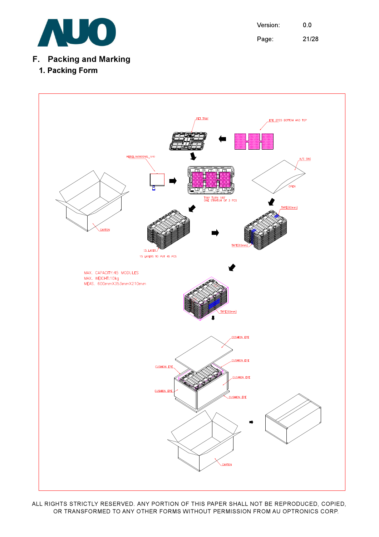

Version: 0.0 Page: 21/28

# F. Packing and Marking

# 1. Packing Form

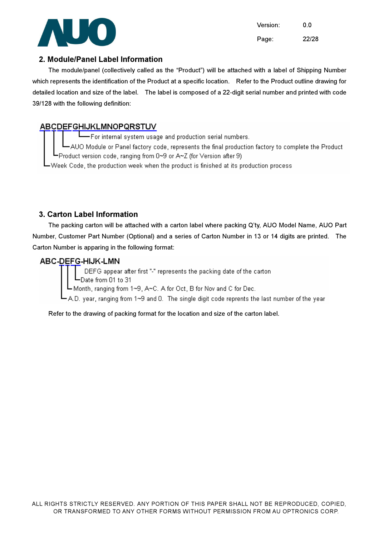

Version: 0.0 Page: 22/28

#### 2. Module/Panel Label Information

The module/panel (collectively called as the "Product") will be attached with a label of Shipping Number which represents the identification of the Product at a specific location. Refer to the Product outline drawing for detailed location and size of the label. The label is composed of a 22-digit serial number and printed with code 39/128 with the following definition:

# **ABCDEFGHIJKLMNOPQRSTUV**

--<br>For internal system usage and production serial numbers. -AUO Module or Panel factory code, represents the final production factory to complete the Product =Product version code, ranging from 0~9 or A~Z (for Version after 9). -Week Code, the production week when the product is finished at its production process.

#### 3. Carton Label Information

The packing carton will be attached with a carton label where packing Q'ty, AUO Model Name, AUO Part Number, Customer Part Number (Optional) and a series of Carton Number in 13 or 14 digits are printed. The Carton Number is apparing in the following format:

#### ABC-DEFG-HIJK-LMN

DEFG appear after first "-" represents the packing date of the carton Date from 01 to 31

L Month, ranging from 1∼9, A∼C. A for Oct, B for Nov and C for Dec.

A.D. year, ranging from 1~9 and 0. The single digit code reprents the last number of the year

Refer to the drawing of packing format for the location and size of the carton label.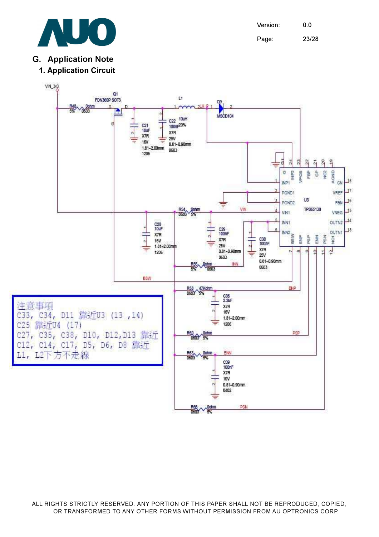

Version: 0.0 Page: 23/28

# G. Application Note



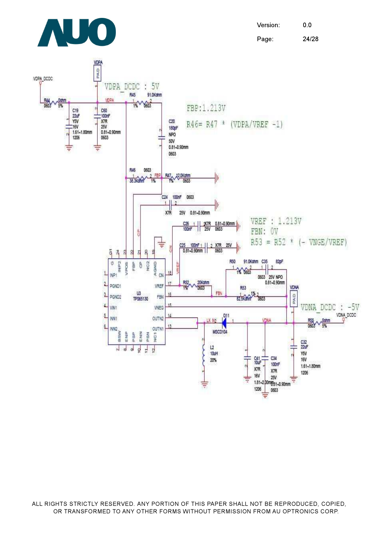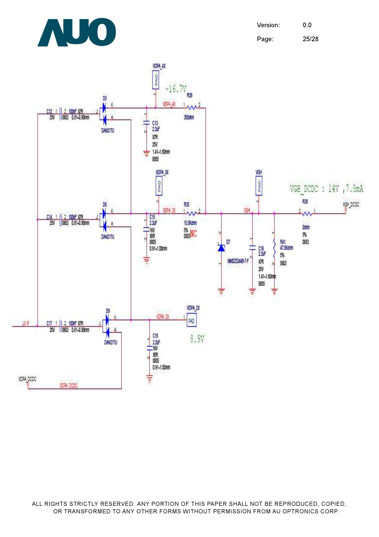

Version: 0.0 Page: 25/28

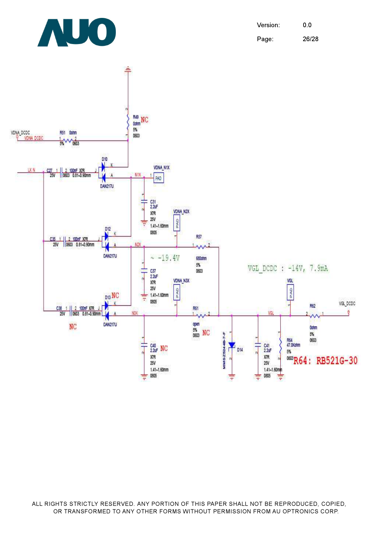Version: 0.0 Page: 26/28



AUO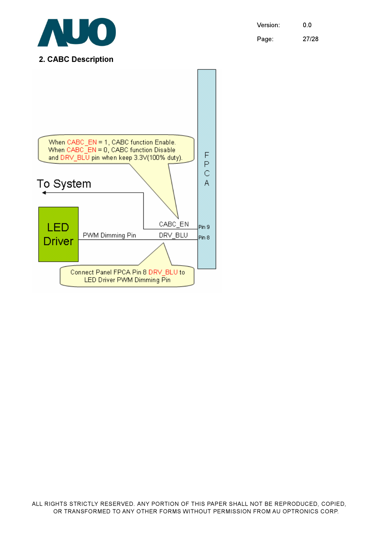Version: 0.0 Page: 27/28